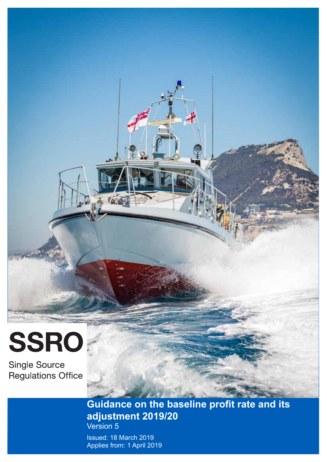# SSRO

**Single Source Regulations Office** 

# **Guidance on the baseline profit rate and its adjustment 2019/20** Version 5

Issued: 18 March 2019 Applies from: 1 April 2019

 $\frac{1}{2}$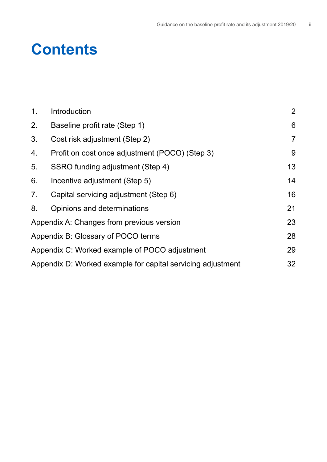# **Contents**

| 1.             | Introduction                                                | $\overline{2}$  |
|----------------|-------------------------------------------------------------|-----------------|
| 2.             | Baseline profit rate (Step 1)                               | $6\phantom{1}6$ |
| 3.             | Cost risk adjustment (Step 2)                               | $\overline{7}$  |
| 4.             | Profit on cost once adjustment (POCO) (Step 3)              | 9               |
| 5.             | SSRO funding adjustment (Step 4)                            | 13              |
| 6.             | Incentive adjustment (Step 5)                               | 14              |
| 7 <sub>1</sub> | Capital servicing adjustment (Step 6)                       | 16              |
| 8.             | Opinions and determinations                                 | 21              |
|                | Appendix A: Changes from previous version                   | 23              |
|                | Appendix B: Glossary of POCO terms                          | 28              |
|                | Appendix C: Worked example of POCO adjustment               | 29              |
|                | Appendix D: Worked example for capital servicing adjustment | 32              |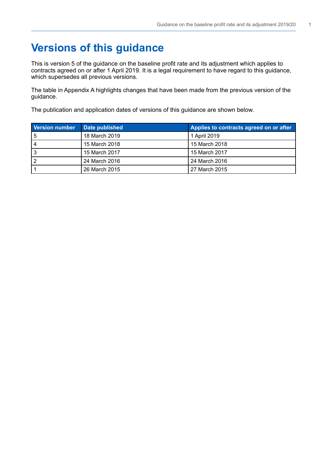# **Versions of this guidance**

This is version 5 of the guidance on the baseline profit rate and its adjustment which applies to contracts agreed on or after 1 April 2019. It is a legal requirement to have regard to this guidance, which supersedes all previous versions.

The table in Appendix A highlights changes that have been made from the previous version of the guidance.

The publication and application dates of versions of this guidance are shown below.

| <b>Version number</b> | Date published | Applies to contracts agreed on or after |
|-----------------------|----------------|-----------------------------------------|
| 5                     | 18 March 2019  | 1 April 2019                            |
|                       | 15 March 2018  | 15 March 2018                           |
| J                     | 15 March 2017  | 15 March 2017                           |
|                       | 24 March 2016  | 24 March 2016                           |
|                       | 26 March 2015  | l 27 March 2015                         |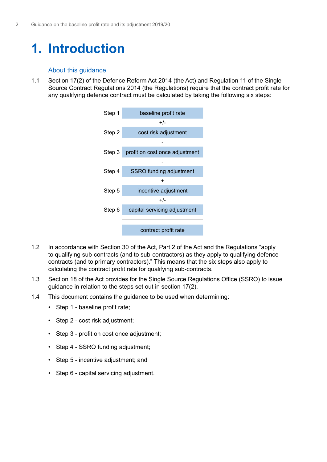# <span id="page-3-0"></span>**1. Introduction**

# About this guidance

1.1 Section 17(2) of the Defence Reform Act 2014 (the Act) and Regulation 11 of the Single Source Contract Regulations 2014 (the Regulations) require that the contract proft rate for any qualifying defence contract must be calculated by taking the following six steps:



- 1.2 In accordance with Section 30 of the Act, Part 2 of the Act and the Regulations "apply to qualifying sub-contracts (and to sub-contractors) as they apply to qualifying defence contracts (and to primary contractors)." This means that the six steps also apply to calculating the contract proft rate for qualifying sub-contracts.
- 1.3 Section 18 of the Act provides for the Single Source Regulations Office (SSRO) to issue guidance in relation to the steps set out in section 17(2).
- 1.4 This document contains the guidance to be used when determining:
	- Step 1 baseline profit rate;
	- Step 2 cost risk adjustment;
	- Step 3 profit on cost once adjustment:
	- Step 4 SSRO funding adjustment:
	- Step 5 incentive adjustment; and
	- Step 6 capital servicing adjustment.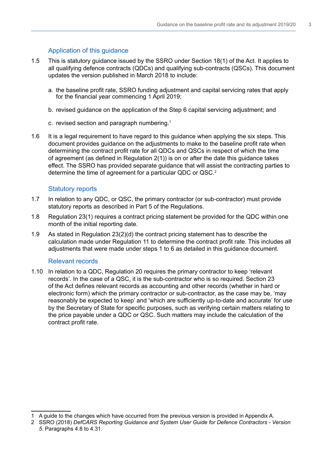# Application of this guidance

- 1.5 This is statutory guidance issued by the SSRO under Section 18(1) of the Act. It applies to all qualifying defence contracts (QDCs) and qualifying sub-contracts (QSCs). This document updates the version published in March 2018 to include:
	- a. the baseline profit rate, SSRO funding adjustment and capital servicing rates that apply for the fnancial year commencing 1 April 2019;
	- b. revised guidance on the application of the Step 6 capital servicing adjustment; and
	- c. revised section and paragraph numbering.<sup>1</sup>
- 1.6 It is a legal requirement to have regard to this guidance when applying the six steps. This document provides guidance on the adjustments to make to the baseline profit rate when determining the contract proft rate for all QDCs and QSCs in respect of which the time of agreement (as defined in Regulation  $2(1)$ ) is on or after the date this guidance takes efect. The SSRO has provided separate guidance that will assist the contracting parties to determine the time of agreement for a particular QDC or QSC.<sup>2</sup>

### Statutory reports

- 1.7 In relation to any QDC, or QSC, the primary contractor (or sub-contractor) must provide statutory reports as described in Part 5 of the Regulations.
- 1.8 Regulation 23(1) requires a contract pricing statement be provided for the QDC within one month of the initial reporting date.
- 1.9 As stated in Regulation 23(2)(d) the contract pricing statement has to describe the calculation made under Regulation 11 to determine the contract proft rate. This includes all adjustments that were made under steps 1 to 6 as detailed in this guidance document.

# Relevant records

1.10 In relation to a QDC, Regulation 20 requires the primary contractor to keep 'relevant records'. In the case of a QSC, it is the sub-contractor who is so required. Section 23 of the Act defnes relevant records as accounting and other records (whether in hard or electronic form) which the primary contractor or sub-contractor, as the case may be, 'may reasonably be expected to keep' and 'which are sufficiently up-to-date and accurate' for use by the Secretary of State for specific purposes, such as verifying certain matters relating to the price payable under a QDC or QSC. Such matters may include the calculation of the contract profit rate.

<sup>1</sup> A guide to the changes which have occurred from the previous version is provided in Appendix A.

<sup>2</sup> SSRO (2018) *DefCARS Reporting Guidance and System User Guide for Defence Contractors - Version 5*. Paragraphs 4.8 to 4.31.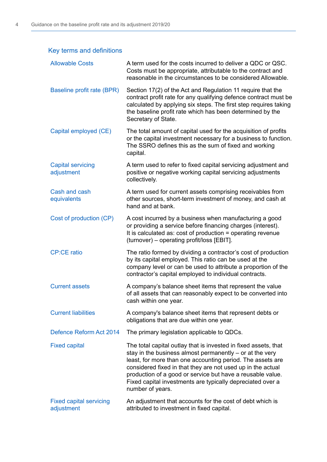# Key terms and definitions

| <b>Allowable Costs</b>                       | A term used for the costs incurred to deliver a QDC or QSC.<br>Costs must be appropriate, attributable to the contract and<br>reasonable in the circumstances to be considered Allowable.                                                                                                                                                                                                                  |
|----------------------------------------------|------------------------------------------------------------------------------------------------------------------------------------------------------------------------------------------------------------------------------------------------------------------------------------------------------------------------------------------------------------------------------------------------------------|
| Baseline profit rate (BPR)                   | Section 17(2) of the Act and Regulation 11 require that the<br>contract profit rate for any qualifying defence contract must be<br>calculated by applying six steps. The first step requires taking<br>the baseline profit rate which has been determined by the<br>Secretary of State.                                                                                                                    |
| Capital employed (CE)                        | The total amount of capital used for the acquisition of profits<br>or the capital investment necessary for a business to function.<br>The SSRO defines this as the sum of fixed and working<br>capital.                                                                                                                                                                                                    |
| <b>Capital servicing</b><br>adjustment       | A term used to refer to fixed capital servicing adjustment and<br>positive or negative working capital servicing adjustments<br>collectively.                                                                                                                                                                                                                                                              |
| Cash and cash<br>equivalents                 | A term used for current assets comprising receivables from<br>other sources, short-term investment of money, and cash at<br>hand and at bank.                                                                                                                                                                                                                                                              |
| Cost of production (CP)                      | A cost incurred by a business when manufacturing a good<br>or providing a service before financing charges (interest).<br>It is calculated as: cost of production = operating revenue<br>(turnover) – operating profit/loss [EBIT].                                                                                                                                                                        |
| <b>CP:CE ratio</b>                           | The ratio formed by dividing a contractor's cost of production<br>by its capital employed. This ratio can be used at the<br>company level or can be used to attribute a proportion of the<br>contractor's capital employed to individual contracts.                                                                                                                                                        |
| <b>Current assets</b>                        | A company's balance sheet items that represent the value<br>of all assets that can reasonably expect to be converted into<br>cash within one year.                                                                                                                                                                                                                                                         |
| <b>Current liabilities</b>                   | A company's balance sheet items that represent debts or<br>obligations that are due within one year.                                                                                                                                                                                                                                                                                                       |
| Defence Reform Act 2014                      | The primary legislation applicable to QDCs.                                                                                                                                                                                                                                                                                                                                                                |
| <b>Fixed capital</b>                         | The total capital outlay that is invested in fixed assets, that<br>stay in the business almost permanently $-$ or at the very<br>least, for more than one accounting period. The assets are<br>considered fixed in that they are not used up in the actual<br>production of a good or service but have a reusable value.<br>Fixed capital investments are typically depreciated over a<br>number of years. |
| <b>Fixed capital servicing</b><br>adjustment | An adjustment that accounts for the cost of debt which is<br>attributed to investment in fixed capital.                                                                                                                                                                                                                                                                                                    |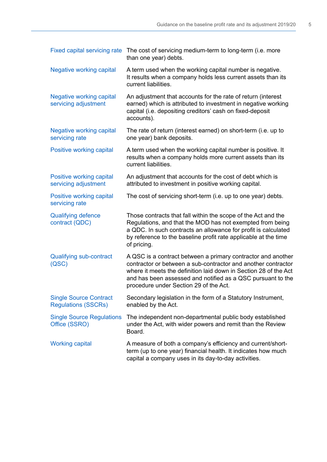| <b>Fixed capital servicing rate</b>                         | The cost of servicing medium-term to long-term (i.e. more<br>than one year) debts.                                                                                                                                                                                                                         |
|-------------------------------------------------------------|------------------------------------------------------------------------------------------------------------------------------------------------------------------------------------------------------------------------------------------------------------------------------------------------------------|
| <b>Negative working capital</b>                             | A term used when the working capital number is negative.<br>It results when a company holds less current assets than its<br>current liabilities.                                                                                                                                                           |
| <b>Negative working capital</b><br>servicing adjustment     | An adjustment that accounts for the rate of return (interest<br>earned) which is attributed to investment in negative working<br>capital (i.e. depositing creditors' cash on fixed-deposit<br>accounts).                                                                                                   |
| <b>Negative working capital</b><br>servicing rate           | The rate of return (interest earned) on short-term (i.e. up to<br>one year) bank deposits.                                                                                                                                                                                                                 |
| Positive working capital                                    | A term used when the working capital number is positive. It<br>results when a company holds more current assets than its<br>current liabilities.                                                                                                                                                           |
| Positive working capital<br>servicing adjustment            | An adjustment that accounts for the cost of debt which is<br>attributed to investment in positive working capital.                                                                                                                                                                                         |
| Positive working capital<br>servicing rate                  | The cost of servicing short-term (i.e. up to one year) debts.                                                                                                                                                                                                                                              |
| <b>Qualifying defence</b><br>contract (QDC)                 | Those contracts that fall within the scope of the Act and the<br>Regulations, and that the MOD has not exempted from being<br>a QDC. In such contracts an allowance for profit is calculated<br>by reference to the baseline profit rate applicable at the time<br>of pricing.                             |
| <b>Qualifying sub-contract</b><br>(QSC)                     | A QSC is a contract between a primary contractor and another<br>contractor or between a sub-contractor and another contractor<br>where it meets the definition laid down in Section 28 of the Act<br>and has been assessed and notified as a QSC pursuant to the<br>procedure under Section 29 of the Act. |
| <b>Single Source Contract</b><br><b>Regulations (SSCRs)</b> | Secondary legislation in the form of a Statutory Instrument,<br>enabled by the Act.                                                                                                                                                                                                                        |
| <b>Single Source Regulations</b><br>Office (SSRO)           | The independent non-departmental public body established<br>under the Act, with wider powers and remit than the Review<br>Board.                                                                                                                                                                           |
| <b>Working capital</b>                                      | A measure of both a company's efficiency and current/short-<br>term (up to one year) financial health. It indicates how much<br>capital a company uses in its day-to-day activities.                                                                                                                       |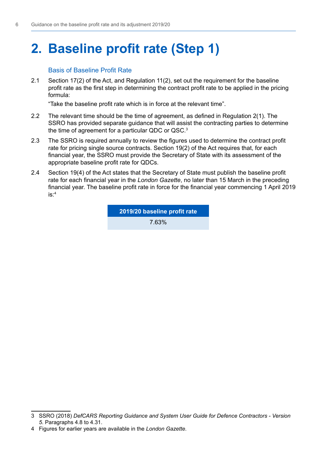# <span id="page-7-0"></span>**2. Baseline profit rate (Step 1)**

# **Basis of Baseline Profit Rate**

2.1 Section 17(2) of the Act, and Regulation 11(2), set out the requirement for the baseline profit rate as the first step in determining the contract profit rate to be applied in the pricing formula:

"Take the baseline proft rate which is in force at the relevant time".

- 2.2 The relevant time should be the time of agreement, as defned in Regulation 2(1). The SSRO has provided separate guidance that will assist the contracting parties to determine the time of agreement for a particular QDC or QSC.<sup>3</sup>
- 2.3 The SSRO is required annually to review the figures used to determine the contract profit rate for pricing single source contracts. Section 19(2) of the Act requires that, for each fnancial year, the SSRO must provide the Secretary of State with its assessment of the appropriate baseline profit rate for QDCs.
- 2.4 Section 19(4) of the Act states that the Secretary of State must publish the baseline proft rate for each fnancial year in the *London Gazette*, no later than 15 March in the preceding financial year. The baseline profit rate in force for the financial year commencing 1 April 2019 is:4

**2019/20 baseline proft rate** 7.63%

<sup>3</sup> SSRO (2018) *DefCARS Reporting Guidance and System User Guide for Defence Contractors - Version 5*. Paragraphs 4.8 to 4.31.

<sup>4</sup> Figures for earlier years are available in the *London Gazette*.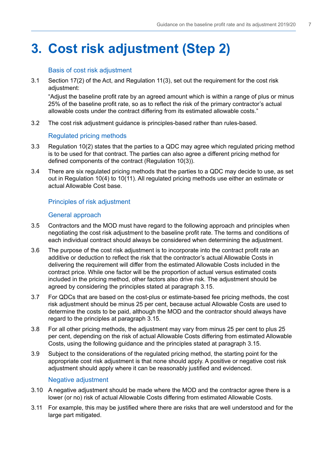# <span id="page-8-0"></span>**3. Cost risk adjustment (Step 2)**

# Basis of cost risk adjustment

3.1 Section 17(2) of the Act, and Regulation 11(3), set out the requirement for the cost risk adiustment:

"Adjust the baseline profit rate by an agreed amount which is within a range of plus or minus 25% of the baseline profit rate, so as to reflect the risk of the primary contractor's actual allowable costs under the contract difering from its estimated allowable costs."

3.2 The cost risk adjustment guidance is principles-based rather than rules-based.

# Regulated pricing methods

- 3.3 Regulation 10(2) states that the parties to a QDC may agree which regulated pricing method is to be used for that contract. The parties can also agree a diferent pricing method for defned components of the contract (Regulation 10(3)).
- 3.4 There are six regulated pricing methods that the parties to a QDC may decide to use, as set out in Regulation 10(4) to 10(11). All regulated pricing methods use either an estimate or actual Allowable Cost base.

# Principles of risk adjustment

# General approach

- 3.5 Contractors and the MOD must have regard to the following approach and principles when negotiating the cost risk adjustment to the baseline profit rate. The terms and conditions of each individual contract should always be considered when determining the adjustment.
- 3.6 The purpose of the cost risk adjustment is to incorporate into the contract profit rate an additive or deduction to refect the risk that the contractor's actual Allowable Costs in delivering the requirement will difer from the estimated Allowable Costs included in the contract price. While one factor will be the proportion of actual versus estimated costs included in the pricing method, other factors also drive risk. The adjustment should be agreed by considering the principles stated at paragraph 3.15.
- 3.7 For QDCs that are based on the cost-plus or estimate-based fee pricing methods, the cost risk adjustment should be minus 25 per cent, because actual Allowable Costs are used to determine the costs to be paid, although the MOD and the contractor should always have regard to the principles at paragraph 3.15.
- 3.8 For all other pricing methods, the adjustment may vary from minus 25 per cent to plus 25 per cent, depending on the risk of actual Allowable Costs difering from estimated Allowable Costs, using the following guidance and the principles stated at paragraph 3.15.
- 3.9 Subject to the considerations of the regulated pricing method, the starting point for the appropriate cost risk adjustment is that none should apply. A positive or negative cost risk adjustment should apply where it can be reasonably justifed and evidenced.

# Negative adjustment

- 3.10 A negative adjustment should be made where the MOD and the contractor agree there is a lower (or no) risk of actual Allowable Costs difering from estimated Allowable Costs.
- 3.11 For example, this may be justifed where there are risks that are well understood and for the large part mitigated.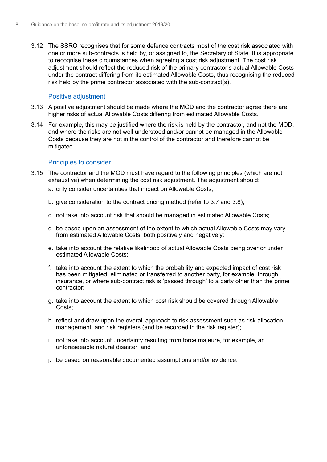3.12 The SSRO recognises that for some defence contracts most of the cost risk associated with one or more sub-contracts is held by, or assigned to, the Secretary of State. It is appropriate to recognise these circumstances when agreeing a cost risk adjustment. The cost risk adjustment should refect the reduced risk of the primary contractor's actual Allowable Costs under the contract difering from its estimated Allowable Costs, thus recognising the reduced risk held by the prime contractor associated with the sub-contract(s).

### Positive adjustment

- 3.13 A positive adjustment should be made where the MOD and the contractor agree there are higher risks of actual Allowable Costs difering from estimated Allowable Costs.
- 3.14 For example, this may be justifed where the risk is held by the contractor, and not the MOD, and where the risks are not well understood and/or cannot be managed in the Allowable Costs because they are not in the control of the contractor and therefore cannot be mitigated.

# Principles to consider

- 3.15 The contractor and the MOD must have regard to the following principles (which are not exhaustive) when determining the cost risk adjustment. The adjustment should:
	- a. only consider uncertainties that impact on Allowable Costs;
	- b. give consideration to the contract pricing method (refer to 3.7 and 3.8);
	- c. not take into account risk that should be managed in estimated Allowable Costs;
	- d. be based upon an assessment of the extent to which actual Allowable Costs may vary from estimated Allowable Costs, both positively and negatively;
	- e. take into account the relative likelihood of actual Allowable Costs being over or under estimated Allowable Costs;
	- f. take into account the extent to which the probability and expected impact of cost risk has been mitigated, eliminated or transferred to another party, for example, through insurance, or where sub-contract risk is 'passed through' to a party other than the prime contractor;
	- g. take into account the extent to which cost risk should be covered through Allowable Costs;
	- h. reflect and draw upon the overall approach to risk assessment such as risk allocation, management, and risk registers (and be recorded in the risk register);
	- i. not take into account uncertainty resulting from force majeure, for example, an unforeseeable natural disaster; and
	- i. be based on reasonable documented assumptions and/or evidence.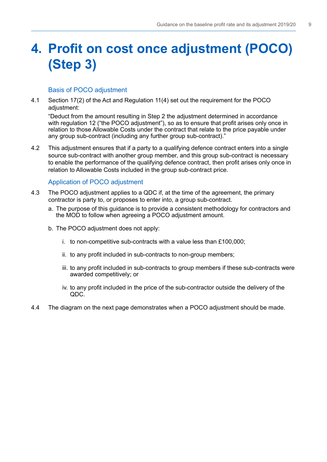# <span id="page-10-0"></span>**4. Profit on cost once adjustment (POCO) (Step 3)**

# Basis of POCO adjustment

4.1 Section 17(2) of the Act and Regulation 11(4) set out the requirement for the POCO adiustment:

"Deduct from the amount resulting in Step 2 the adjustment determined in accordance with regulation 12 ("the POCO adjustment"), so as to ensure that profit arises only once in relation to those Allowable Costs under the contract that relate to the price payable under any group sub-contract (including any further group sub-contract)."

4.2 This adjustment ensures that if a party to a qualifying defence contract enters into a single source sub-contract with another group member, and this group sub-contract is necessary to enable the performance of the qualifying defence contract, then profit arises only once in relation to Allowable Costs included in the group sub-contract price.

# Application of POCO adjustment

- 4.3 The POCO adjustment applies to a QDC if, at the time of the agreement, the primary contractor is party to, or proposes to enter into, a group sub-contract.
	- a. The purpose of this quidance is to provide a consistent methodology for contractors and the MOD to follow when agreeing a POCO adjustment amount.
	- b. The POCO adjustment does not apply:
		- i. to non-competitive sub-contracts with a value less than  $£100,000;$
		- ii. to any profit included in sub-contracts to non-group members;
		- iii, to any profit included in sub-contracts to group members if these sub-contracts were awarded competitively; or
		- iv. to any profit included in the price of the sub-contractor outside the delivery of the QDC.
- 4.4 The diagram on the next page demonstrates when a POCO adjustment should be made.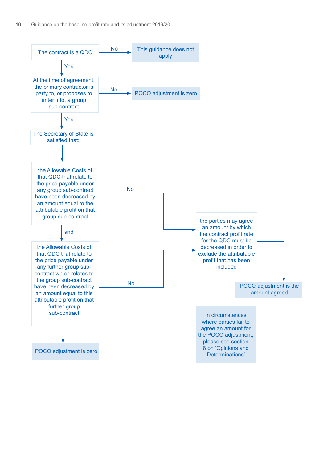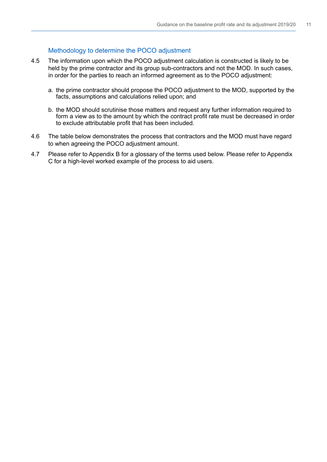# Methodology to determine the POCO adjustment

- 4.5 The information upon which the POCO adjustment calculation is constructed is likely to be held by the prime contractor and its group sub-contractors and not the MOD. In such cases, in order for the parties to reach an informed agreement as to the POCO adjustment:
	- a. the prime contractor should propose the POCO adjustment to the MOD, supported by the facts, assumptions and calculations relied upon; and
	- b. the MOD should scrutinise those matters and request any further information required to form a view as to the amount by which the contract profit rate must be decreased in order to exclude attributable proft that has been included.
- 4.6 The table below demonstrates the process that contractors and the MOD must have regard to when agreeing the POCO adjustment amount.
- 4.7 Please refer to Appendix B for a glossary of the terms used below. Please refer to Appendix C for a high-level worked example of the process to aid users.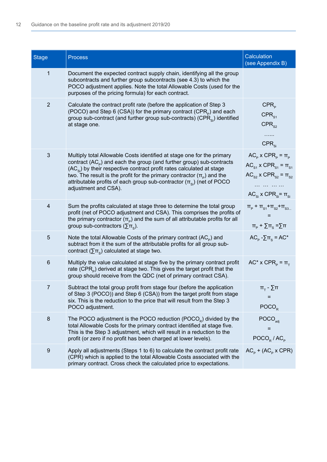| <b>Stage</b>    | <b>Process</b>                                                                                                                                                                                                                                                                                                                                                                                                         | Calculation<br>(see Appendix B)                                                                                                                                         |
|-----------------|------------------------------------------------------------------------------------------------------------------------------------------------------------------------------------------------------------------------------------------------------------------------------------------------------------------------------------------------------------------------------------------------------------------------|-------------------------------------------------------------------------------------------------------------------------------------------------------------------------|
| $\mathbf{1}$    | Document the expected contract supply chain, identifying all the group<br>subcontracts and further group subcontracts (see 4.3) to which the<br>POCO adjustment applies. Note the total Allowable Costs (used for the<br>purposes of the pricing formula) for each contract.                                                                                                                                           |                                                                                                                                                                         |
| $\sqrt{2}$      | Calculate the contract profit rate (before the application of Step 3<br>(POCO) and Step 6 (CSA)) for the primary contract (CPR <sub>p</sub> ) and each<br>group sub-contract (and further group sub-contracts) (CPR $_{si}$ ) identified<br>at stage one.                                                                                                                                                              | CPR <sub>p</sub><br>$CPR_{s1}$<br>CPR <sub>s2</sub><br>$CPR_{si}$                                                                                                       |
| $\sqrt{3}$      | Multiply total Allowable Costs identified at stage one for the primary<br>contract $(ACp)$ and each the group (and further group) sub-contracts<br>$(AC_{si})$ by their respective contract profit rates calculated at stage<br>two. The result is the profit for the primary contractor $(\pi_{\rho})$ and the<br>attributable profits of each group sub-contractor $(\pi_{si})$ (net of POCO<br>adjustment and CSA). | $AC_{p}$ x $CPR_{p} = \pi_{p}$<br>$AC_{s_1}$ x $CPR_{s_1} = \pi_{s_1}$<br>$AC_{S2}$ x CPR <sub>S2</sub> = $\pi_{S2}$<br>.<br>$AC_{si}$ x CPR <sub>si</sub> = $\pi_{si}$ |
| $\overline{4}$  | Sum the profits calculated at stage three to determine the total group<br>profit (net of POCO adjustment and CSA). This comprises the profits of<br>the primary contractor $(\pi_{\rm p})$ and the sum of all attributable profits for all<br>group sub-contractors ( $\Sigma$ $\pi_{\rm s}$ ).                                                                                                                        | $\Pi_{\rm p}$ + $\Pi_{\rm S1}$ + $\Pi_{\rm S2}$ + $\Pi_{\rm S3}$<br>$\pi_{\rm p}$ + $\Sigma \pi_{\rm s}$ = $\Sigma \pi$                                                 |
| $\overline{5}$  | Note the total Allowable Costs of the primary contract $(ACp)$ and<br>subtract from it the sum of the attributable profits for all group sub-<br>contract ( $\Sigma$ $\pi_{\rm s}$ ) calculated at stage two.                                                                                                                                                                                                          | $AC_{p} - \sum_{s} \pi_{s} = AC^{*}$                                                                                                                                    |
| $6\phantom{1}6$ | Multiply the value calculated at stage five by the primary contract profit<br>rate (CPR <sub>p</sub> ) derived at stage two. This gives the target profit that the<br>group should receive from the QDC (net of primary contract CSA).                                                                                                                                                                                 | $AC^* \times CPR_p = \pi$                                                                                                                                               |
| $\overline{7}$  | Subtract the total group profit from stage four (before the application<br>of Step 3 (POCO)) and Step 6 (CSA)) from the target profit from stage<br>six. This is the reduction to the price that will result from the Step 3<br>POCO adjustment.                                                                                                                                                                       | $\pi_{\tau}$ - $\Sigma$ π<br>Ξ<br>POCO <sub>R</sub>                                                                                                                     |
| $\bf 8$         | The POCO adjustment is the POCO reduction $(POCOe)$ divided by the<br>total Allowable Costs for the primary contract identified at stage five.<br>This is the Step 3 adjustment, which will result in a reduction to the<br>profit (or zero if no profit has been charged at lower levels).                                                                                                                            | $\overline{\mathsf{POCO}}_{\mathsf{adj}}$<br>=<br>$\text{POCO}_R / \text{AC}_P$                                                                                         |
| 9               | Apply all adjustments (Steps 1 to 6) to calculate the contract profit rate<br>(CPR) which is applied to the total Allowable Costs associated with the<br>primary contract. Cross check the calculated price to expectations.                                                                                                                                                                                           | $AC_{p}$ + (AC <sub>p</sub> x CPR)                                                                                                                                      |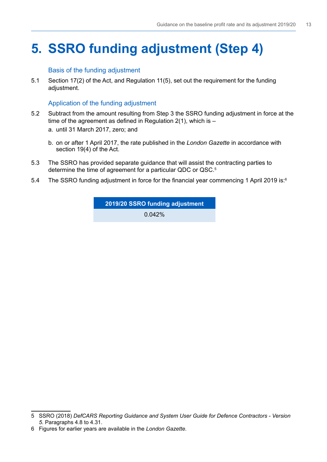# <span id="page-14-0"></span>**5. SSRO funding adjustment (Step 4)**

# Basis of the funding adjustment

5.1 Section 17(2) of the Act, and Regulation 11(5), set out the requirement for the funding adjustment.

# Application of the funding adjustment

- 5.2 Subtract from the amount resulting from Step 3 the SSRO funding adjustment in force at the time of the agreement as defined in Regulation  $2(1)$ , which is  $$ 
	- a. until 31 March 2017, zero; and
	- b. on or after 1 April 2017, the rate published in the *London Gazette* in accordance with section 19(4) of the Act.
- 5.3 The SSRO has provided separate guidance that will assist the contracting parties to determine the time of agreement for a particular QDC or QSC.<sup>5</sup>
- 5.4 The SSRO funding adjustment in force for the financial year commencing 1 April 2019 is: $^6$

**2019/20 SSRO funding adjustment** 

0.042%

<sup>5</sup> SSRO (2018) *DefCARS Reporting Guidance and System User Guide for Defence Contractors - Version 5*. Paragraphs 4.8 to 4.31.

<sup>6</sup> Figures for earlier years are available in the *London Gazette*.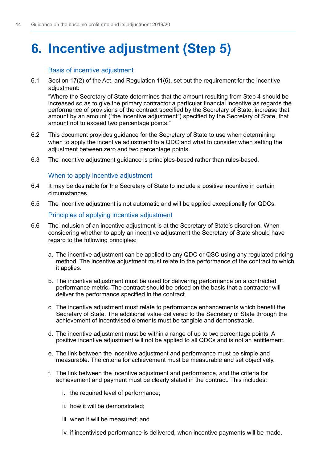# <span id="page-15-0"></span>**6. Incentive adjustment (Step 5)**

# Basis of incentive adjustment

6.1 Section 17(2) of the Act, and Regulation 11(6), set out the requirement for the incentive adiustment:

"Where the Secretary of State determines that the amount resulting from Step 4 should be increased so as to give the primary contractor a particular fnancial incentive as regards the performance of provisions of the contract specifed by the Secretary of State, increase that amount by an amount ("the incentive adjustment") specifed by the Secretary of State, that amount not to exceed two percentage points."

- 6.2 This document provides guidance for the Secretary of State to use when determining when to apply the incentive adjustment to a QDC and what to consider when setting the adjustment between zero and two percentage points.
- 6.3 The incentive adjustment guidance is principles-based rather than rules-based.

# When to apply incentive adjustment

- 6.4 It may be desirable for the Secretary of State to include a positive incentive in certain circumstances.
- 6.5 The incentive adjustment is not automatic and will be applied exceptionally for QDCs.

# Principles of applying incentive adjustment

- 6.6 The inclusion of an incentive adjustment is at the Secretary of State's discretion. When considering whether to apply an incentive adjustment the Secretary of State should have regard to the following principles:
	- a. The incentive adjustment can be applied to any QDC or QSC using any regulated pricing method. The incentive adjustment must relate to the performance of the contract to which it applies.
	- b. The incentive adjustment must be used for delivering performance on a contracted performance metric. The contract should be priced on the basis that a contractor will deliver the performance specifed in the contract.
	- c. The incentive adjustment must relate to performance enhancements which benefit the Secretary of State. The additional value delivered to the Secretary of State through the achievement of incentivised elements must be tangible and demonstrable.
	- d. The incentive adjustment must be within a range of up to two percentage points. A positive incentive adjustment will not be applied to all QDCs and is not an entitlement.
	- e. The link between the incentive adjustment and performance must be simple and measurable. The criteria for achievement must be measurable and set objectively.
	- f. The link between the incentive adjustment and performance, and the criteria for achievement and payment must be clearly stated in the contract. This includes:
		- i. the required level of performance;
		- ii. how it will be demonstrated:
		- iii. when it will be measured; and
		- iv. if incentivised performance is delivered, when incentive payments will be made.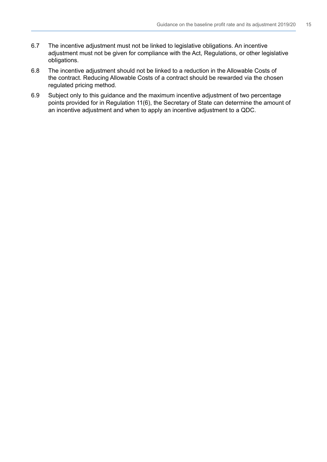- 6.7 The incentive adjustment must not be linked to legislative obligations. An incentive adjustment must not be given for compliance with the Act, Regulations, or other legislative obligations.
- 6.8 The incentive adjustment should not be linked to a reduction in the Allowable Costs of the contract. Reducing Allowable Costs of a contract should be rewarded via the chosen regulated pricing method.
- 6.9 Subject only to this guidance and the maximum incentive adjustment of two percentage points provided for in Regulation 11(6), the Secretary of State can determine the amount of an incentive adjustment and when to apply an incentive adjustment to a QDC.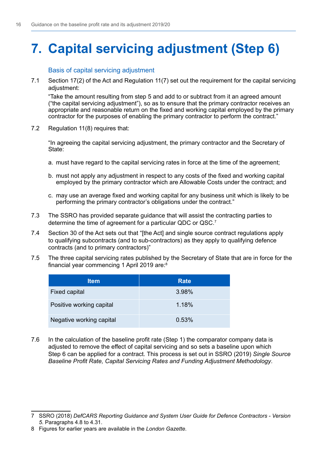# <span id="page-17-0"></span>**7. Capital servicing adjustment (Step 6)**

Basis of capital servicing adjustment

7.1 Section 17(2) of the Act and Regulation 11(7) set out the requirement for the capital servicing adiustment:

"Take the amount resulting from step 5 and add to or subtract from it an agreed amount ("the capital servicing adjustment"), so as to ensure that the primary contractor receives an appropriate and reasonable return on the fxed and working capital employed by the primary contractor for the purposes of enabling the primary contractor to perform the contract."

7.2 Regulation 11(8) requires that:

"In agreeing the capital servicing adjustment, the primary contractor and the Secretary of State:

- a. must have regard to the capital servicing rates in force at the time of the agreement;
- b. must not apply any adjustment in respect to any costs of the fixed and working capital employed by the primary contractor which are Allowable Costs under the contract; and
- c. may use an average fixed and working capital for any business unit which is likely to be performing the primary contractor's obligations under the contract."
- 7.3 The SSRO has provided separate guidance that will assist the contracting parties to determine the time of agreement for a particular QDC or QSC.7
- 7.4 Section 30 of the Act sets out that "[the Act] and single source contract regulations apply to qualifying subcontracts (and to sub-contractors) as they apply to qualifying defence contracts (and to primary contractors)"
- 7.5 The three capital servicing rates published by the Secretary of State that are in force for the financial year commencing 1 April 2019 are: $^{\rm 8}$

| <b>Item</b>              | <b>Rate</b> |
|--------------------------|-------------|
| <b>Fixed capital</b>     | 3.98%       |
| Positive working capital | 1.18%       |
| Negative working capital | 0.53%       |

7.6 In the calculation of the baseline profit rate (Step 1) the comparator company data is adjusted to remove the effect of capital servicing and so sets a baseline upon which Step 6 can be applied for a contract. This process is set out in SSRO (2019) *Single Source Baseline Proft Rate, Capital Servicing Rates and Funding Adjustment Methodology*.

<sup>7</sup> SSRO (2018) *DefCARS Reporting Guidance and System User Guide for Defence Contractors - Version 5*. Paragraphs 4.8 to 4.31.

<sup>8</sup> Figures for earlier years are available in the *London Gazette*.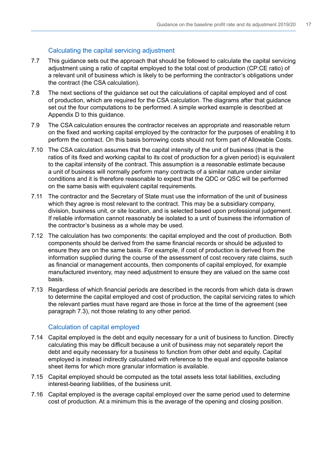# Calculating the capital servicing adjustment

- 7.7 This guidance sets out the approach that should be followed to calculate the capital servicing adjustment using a ratio of capital employed to the total cost of production (CP:CE ratio) of a relevant unit of business which is likely to be performing the contractor's obligations under the contract (the CSA calculation).
- 7.8 The next sections of the guidance set out the calculations of capital employed and of cost of production, which are required for the CSA calculation. The diagrams after that guidance set out the four computations to be performed. A simple worked example is described at Appendix D to this guidance.
- 7.9 The CSA calculation ensures the contractor receives an appropriate and reasonable return on the fxed and working capital employed by the contractor for the purposes of enabling it to perform the contract. On this basis borrowing costs should not form part of Allowable Costs.
- 7.10 The CSA calculation assumes that the capital intensity of the unit of business (that is the ratios of its fxed and working capital to its cost of production for a given period) is equivalent to the capital intensity of the contract. This assumption is a reasonable estimate because a unit of business will normally perform many contracts of a similar nature under similar conditions and it is therefore reasonable to expect that the QDC or QSC will be performed on the same basis with equivalent capital requirements.
- 7.11 The contractor and the Secretary of State must use the information of the unit of business which they agree is most relevant to the contract. This may be a subsidiary company, division, business unit, or site location, and is selected based upon professional judgement. If reliable information cannot reasonably be isolated to a unit of business the information of the contractor's business as a whole may be used.
- 7.12 The calculation has two components: the capital employed and the cost of production. Both components should be derived from the same fnancial records or should be adjusted to ensure they are on the same basis. For example, if cost of production is derived from the information supplied during the course of the assessment of cost recovery rate claims, such as fnancial or management accounts, then components of capital employed, for example manufactured inventory, may need adjustment to ensure they are valued on the same cost basis.
- 7.13 Regardless of which fnancial periods are described in the records from which data is drawn to determine the capital employed and cost of production, the capital servicing rates to which the relevant parties must have regard are those in force at the time of the agreement (see paragraph 7.3), not those relating to any other period.

# Calculation of capital employed

- 7.14 Capital employed is the debt and equity necessary for a unit of business to function. Directly calculating this may be difficult because a unit of business may not separately report the debt and equity necessary for a business to function from other debt and equity. Capital employed is instead indirectly calculated with reference to the equal and opposite balance sheet items for which more granular information is available.
- 7.15 Capital employed should be computed as the total assets less total liabilities, excluding interest-bearing liabilities, of the business unit.
- 7.16 Capital employed is the average capital employed over the same period used to determine cost of production. At a minimum this is the average of the opening and closing position.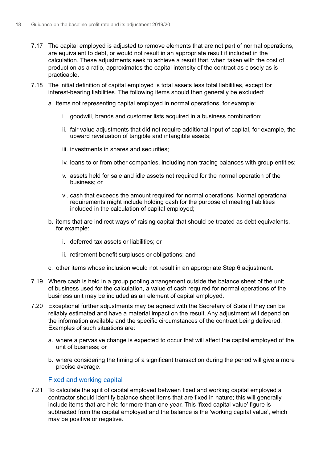- 7.17 The capital employed is adjusted to remove elements that are not part of normal operations, are equivalent to debt, or would not result in an appropriate result if included in the calculation. These adjustments seek to achieve a result that, when taken with the cost of production as a ratio, approximates the capital intensity of the contract as closely as is practicable.
- 7.18 The initial definition of capital employed is total assets less total liabilities, except for interest-bearing liabilities. The following items should then generally be excluded:
	- a. items not representing capital employed in normal operations, for example:
		- i. goodwill, brands and customer lists acquired in a business combination;
		- ii. fair value adjustments that did not require additional input of capital, for example, the upward revaluation of tangible and intangible assets;
		- iii. investments in shares and securities:
		- iv. loans to or from other companies, including non-trading balances with group entities;
		- v. assets held for sale and idle assets not required for the normal operation of the business; or
		- vi. cash that exceeds the amount required for normal operations. Normal operational requirements might include holding cash for the purpose of meeting liabilities included in the calculation of capital employed;
	- b. items that are indirect ways of raising capital that should be treated as debt equivalents, for example:
		- i. deferred tax assets or liabilities; or
		- ii. retirement benefit surpluses or obligations; and
	- c. other items whose inclusion would not result in an appropriate Step 6 adjustment.
- 7.19 Where cash is held in a group pooling arrangement outside the balance sheet of the unit of business used for the calculation, a value of cash required for normal operations of the business unit may be included as an element of capital employed.
- 7.20 Exceptional further adjustments may be agreed with the Secretary of State if they can be reliably estimated and have a material impact on the result. Any adjustment will depend on the information available and the specific circumstances of the contract being delivered. Examples of such situations are:
	- a. where a pervasive change is expected to occur that will affect the capital employed of the unit of business; or
	- b. where considering the timing of a significant transaction during the period will give a more precise average.

# Fixed and working capital

7.21 To calculate the split of capital employed between fixed and working capital employed a contractor should identify balance sheet items that are fixed in nature; this will generally include items that are held for more than one year. This 'fixed capital value' figure is subtracted from the capital employed and the balance is the 'working capital value', which may be positive or negative.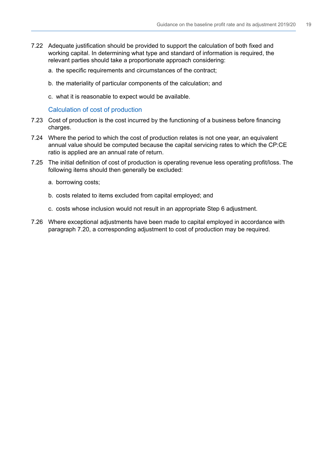- 7.22 Adequate justifcation should be provided to support the calculation of both fxed and working capital. In determining what type and standard of information is required, the relevant parties should take a proportionate approach considering:
	- a. the specific requirements and circumstances of the contract;
	- b. the materiality of particular components of the calculation; and
	- c. what it is reasonable to expect would be available.

Calculation of cost of production

- 7.23 Cost of production is the cost incurred by the functioning of a business before financing charges.
- 7.24 Where the period to which the cost of production relates is not one year, an equivalent annual value should be computed because the capital servicing rates to which the CP:CE ratio is applied are an annual rate of return.
- 7.25 The initial definition of cost of production is operating revenue less operating profit/loss. The following items should then generally be excluded:
	- a. borrowing costs;
	- b. costs related to items excluded from capital employed; and
	- c. costs whose inclusion would not result in an appropriate Step 6 adjustment.
- 7.26 Where exceptional adjustments have been made to capital employed in accordance with paragraph 7.20, a corresponding adjustment to cost of production may be required.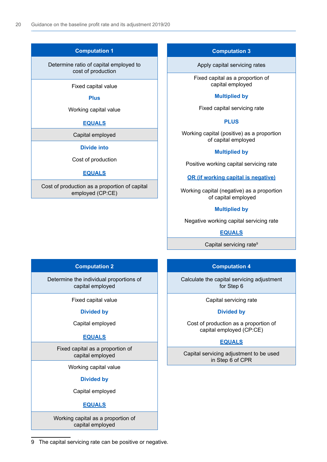9

### **Computation 1**

#### Determine ratio of capital employed to cost of production

Fixed capital value

#### **Plus**

#### Working capital value

#### **EQUALS**

Capital employed

#### **Divide into**

Cost of production

#### **EQUALS**

Cost of production as a proportion of capital employed (CP:CE)

### **Computation 3**

Apply capital servicing rates

Fixed capital as a proportion of capital employed

#### **Multiplied by**

Fixed capital servicing rate

#### **PLUS**

Working capital (positive) as a proportion of capital employed

### **Multiplied by**

Positive working capital servicing rate

**OR (if working capital is negative)**

Working capital (negative) as a proportion of capital employed

### **Multiplied by**

Negative working capital servicing rate

**EQUALS**

Capital servicing rate<sup>9</sup>

# **Computation 2**

Determine the individual proportions of capital employed

Fixed capital value

#### **Divided by**

Capital employed

### **EQUALS**

Fixed capital as a proportion of capital employed

Working capital value

#### **Divided by**

Capital employed

### **EQUALS**

Working capital as a proportion of capital employed

# **Computation 4**

Calculate the capital servicing adjustment for Step 6

Capital servicing rate

#### **Divided by**

Cost of production as a proportion of capital employed (CP:CE)

### **EQUALS**

Capital servicing adjustment to be used in Step 6 of CPR

9 The capital servicing rate can be positive or negative.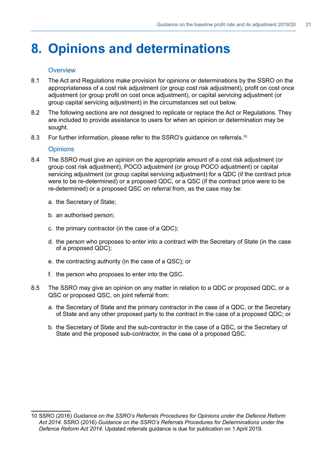# <span id="page-22-0"></span>**8. Opinions and determinations**

### **Overview**

- 8.1 The Act and Regulations make provision for opinions or determinations by the SSRO on the appropriateness of a cost risk adjustment (or group cost risk adjustment), proft on cost once adjustment (or group proft on cost once adjustment), or capital servicing adjustment (or group capital servicing adjustment) in the circumstances set out below.
- 8.2 The following sections are not designed to replicate or replace the Act or Regulations. They are included to provide assistance to users for when an opinion or determination may be sought.
- 8.3 For further information, please refer to the SSRO's guidance on referrals.<sup>10</sup>

# **Opinions**

- 8.4 The SSRO must give an opinion on the appropriate amount of a cost risk adjustment (or group cost risk adjustment), POCO adjustment (or group POCO adjustment) or capital servicing adjustment (or group capital servicing adjustment) for a QDC (if the contract price were to be re-determined) or a proposed QDC, or a QSC (if the contract price were to be re-determined) or a proposed QSC on referral from, as the case may be:
	- a. the Secretary of State;
	- b. an authorised person;
	- c. the primary contractor (in the case of a QDC);
	- d. the person who proposes to enter into a contract with the Secretary of State (in the case of a proposed QDC);
	- e. the contracting authority (in the case of a QSC); or
	- f. the person who proposes to enter into the QSC.
- 8.5 The SSRO may give an opinion on any matter in relation to a QDC or proposed QDC, or a QSC or proposed QSC, on joint referral from:
	- a. the Secretary of State and the primary contractor in the case of a QDC, or the Secretary of State and any other proposed party to the contract in the case of a proposed QDC; or
	- b. the Secretary of State and the sub-contractor in the case of a QSC, or the Secretary of State and the proposed sub-contractor, in the case of a proposed QSC.

<sup>10</sup> SSRO (2016) *Guidance on the SSRO's Referrals Procedures for Opinions under the Defence Reform Act 2014*. SSRO (2016) *Guidance on the SSRO's Referrals Procedures for Determinations under the Defence Reform Act 2014*. Updated referrals guidance is due for publication on 1 April 2019.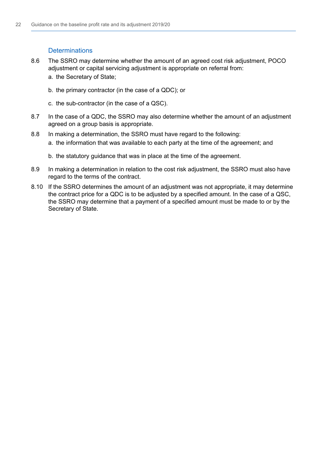# **Determinations**

- 8.6 The SSRO may determine whether the amount of an agreed cost risk adjustment, POCO adjustment or capital servicing adjustment is appropriate on referral from: a. the Secretary of State;
	-
	- b. the primary contractor (in the case of a QDC); or
	- c. the sub-contractor (in the case of a QSC).
- 8.7 In the case of a QDC, the SSRO may also determine whether the amount of an adjustment agreed on a group basis is appropriate.
- 8.8 In making a determination, the SSRO must have regard to the following: a. the information that was available to each party at the time of the agreement; and
	- b. the statutory guidance that was in place at the time of the agreement.
- 8.9 In making a determination in relation to the cost risk adjustment, the SSRO must also have regard to the terms of the contract.
- 8.10 If the SSRO determines the amount of an adjustment was not appropriate, it may determine the contract price for a QDC is to be adjusted by a specifed amount. In the case of a QSC, the SSRO may determine that a payment of a specifed amount must be made to or by the Secretary of State.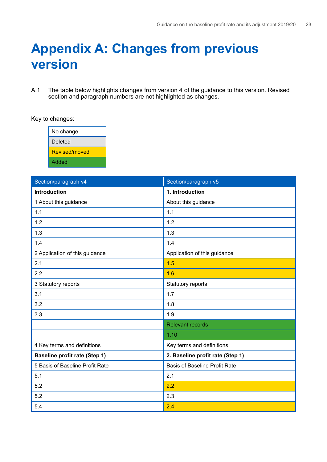# <span id="page-24-0"></span>**Appendix A: Changes from previous version**

A.1 The table below highlights changes from version 4 of the guidance to this version. Revised section and paragraph numbers are not highlighted as changes.

Key to changes:

| No change     |
|---------------|
| Deleted       |
| Revised/moved |
| Added         |

| Section/paragraph v4                 | Section/paragraph v5                 |
|--------------------------------------|--------------------------------------|
| <b>Introduction</b>                  | 1. Introduction                      |
| 1 About this guidance                | About this guidance                  |
| 1.1                                  | 1.1                                  |
| 1.2                                  | 1.2                                  |
| 1.3                                  | 1.3                                  |
| 1.4                                  | 1.4                                  |
| 2 Application of this guidance       | Application of this guidance         |
| 2.1                                  | 1.5                                  |
| 2.2                                  | 1.6                                  |
| 3 Statutory reports                  | Statutory reports                    |
| 3.1                                  | 1.7                                  |
| 3.2                                  | 1.8                                  |
| 3.3                                  | 1.9                                  |
|                                      | <b>Relevant records</b>              |
|                                      | 1.10                                 |
| 4 Key terms and definitions          | Key terms and definitions            |
| <b>Baseline profit rate (Step 1)</b> | 2. Baseline profit rate (Step 1)     |
| 5 Basis of Baseline Profit Rate      | <b>Basis of Baseline Profit Rate</b> |
| 5.1                                  | 2.1                                  |
| 5.2                                  | 2.2                                  |
| 5.2                                  | 2.3                                  |
| 5.4                                  | 2.4                                  |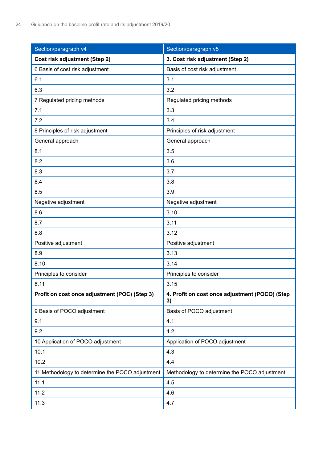| Section/paragraph v4                            | Section/paragraph v5                                 |
|-------------------------------------------------|------------------------------------------------------|
| <b>Cost risk adjustment (Step 2)</b>            | 3. Cost risk adjustment (Step 2)                     |
| 6 Basis of cost risk adjustment                 | Basis of cost risk adjustment                        |
| 6.1                                             | 3.1                                                  |
| 6.3                                             | 3.2                                                  |
| 7 Regulated pricing methods                     | Regulated pricing methods                            |
| 7.1                                             | 3.3                                                  |
| 7.2                                             | 3.4                                                  |
| 8 Principles of risk adjustment                 | Principles of risk adjustment                        |
| General approach                                | General approach                                     |
| 8.1                                             | 3.5                                                  |
| 8.2                                             | 3.6                                                  |
| 8.3                                             | 3.7                                                  |
| 8.4                                             | 3.8                                                  |
| 8.5                                             | 3.9                                                  |
| Negative adjustment                             | Negative adjustment                                  |
| 8.6                                             | 3.10                                                 |
| 8.7                                             | 3.11                                                 |
| 8.8                                             | 3.12                                                 |
| Positive adjustment                             | Positive adjustment                                  |
| 8.9                                             | 3.13                                                 |
| 8.10                                            | 3.14                                                 |
| Principles to consider                          | Principles to consider                               |
| 8.11                                            | 3.15                                                 |
| Profit on cost once adjustment (POC) (Step 3)   | 4. Profit on cost once adjustment (POCO) (Step<br>3) |
| 9 Basis of POCO adjustment                      | Basis of POCO adjustment                             |
| 9.1                                             | 4.1                                                  |
| 9.2                                             | 4.2                                                  |
| 10 Application of POCO adjustment               | Application of POCO adjustment                       |
| 10.1                                            | 4.3                                                  |
| 10.2                                            | 4.4                                                  |
| 11 Methodology to determine the POCO adjustment | Methodology to determine the POCO adjustment         |
| 11.1                                            | 4.5                                                  |
| 11.2                                            | 4.6                                                  |
| 11.3                                            | 4.7                                                  |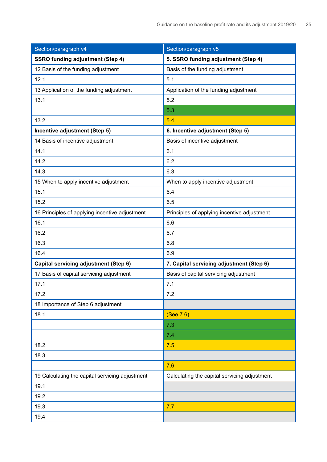| Section/paragraph v4                            | Section/paragraph v5                         |
|-------------------------------------------------|----------------------------------------------|
| <b>SSRO funding adjustment (Step 4)</b>         | 5. SSRO funding adjustment (Step 4)          |
| 12 Basis of the funding adjustment              | Basis of the funding adjustment              |
| 12.1                                            | 5.1                                          |
| 13 Application of the funding adjustment        | Application of the funding adjustment        |
| 13.1                                            | 5.2                                          |
|                                                 | 5.3                                          |
| 13.2                                            | 5.4                                          |
| Incentive adjustment (Step 5)                   | 6. Incentive adjustment (Step 5)             |
| 14 Basis of incentive adjustment                | Basis of incentive adjustment                |
| 14.1                                            | 6.1                                          |
| 14.2                                            | 6.2                                          |
| 14.3                                            | 6.3                                          |
| 15 When to apply incentive adjustment           | When to apply incentive adjustment           |
| 15.1                                            | 6.4                                          |
| 15.2                                            | 6.5                                          |
| 16 Principles of applying incentive adjustment  | Principles of applying incentive adjustment  |
| 16.1                                            | 6.6                                          |
| 16.2                                            | 6.7                                          |
| 16.3                                            | 6.8                                          |
| 16.4                                            | 6.9                                          |
| Capital servicing adjustment (Step 6)           | 7. Capital servicing adjustment (Step 6)     |
| 17 Basis of capital servicing adjustment        | Basis of capital servicing adjustment        |
| 17.1                                            | 7.1                                          |
| 17.2                                            | 7.2                                          |
| 18 Importance of Step 6 adjustment              |                                              |
| 18.1                                            | (See 7.6)                                    |
|                                                 | 7.3                                          |
|                                                 | 7.4                                          |
| 18.2                                            | 7.5                                          |
| 18.3                                            |                                              |
|                                                 | 7.6                                          |
| 19 Calculating the capital servicing adjustment | Calculating the capital servicing adjustment |
| 19.1                                            |                                              |
| 19.2                                            |                                              |
| 19.3                                            | 7.7                                          |
| 19.4                                            |                                              |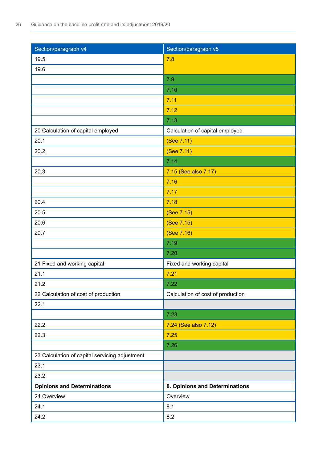| Section/paragraph v4                           | Section/paragraph v5              |
|------------------------------------------------|-----------------------------------|
| 19.5                                           | 7.8                               |
| 19.6                                           |                                   |
|                                                | 7.9                               |
|                                                | 7.10                              |
|                                                | 7.11                              |
|                                                | 7.12                              |
|                                                | 7.13                              |
| 20 Calculation of capital employed             | Calculation of capital employed   |
| 20.1                                           | (See 7.11)                        |
| 20.2                                           | (See 7.11)                        |
|                                                | 7.14                              |
| 20.3                                           | 7.15 (See also 7.17)              |
|                                                | 7.16                              |
|                                                | 7.17                              |
| 20.4                                           | 7.18                              |
| 20.5                                           | (See 7.15)                        |
| 20.6                                           | (See 7.15)                        |
| 20.7                                           | (See 7.16)                        |
|                                                | 7.19                              |
|                                                | 7.20                              |
| 21 Fixed and working capital                   | Fixed and working capital         |
| 21.1                                           | 7.21                              |
| 21.2                                           | 7.22                              |
| 22 Calculation of cost of production           | Calculation of cost of production |
| 22.1                                           |                                   |
|                                                | 7.23                              |
| 22.2                                           | 7.24 (See also 7.12)              |
| 22.3                                           | 7.25                              |
|                                                | 7.26                              |
| 23 Calculation of capital servicing adjustment |                                   |
| 23.1                                           |                                   |
| 23.2                                           |                                   |
| <b>Opinions and Determinations</b>             | 8. Opinions and Determinations    |
| 24 Overview                                    | Overview                          |
| 24.1                                           | 8.1                               |
| 24.2                                           | 8.2                               |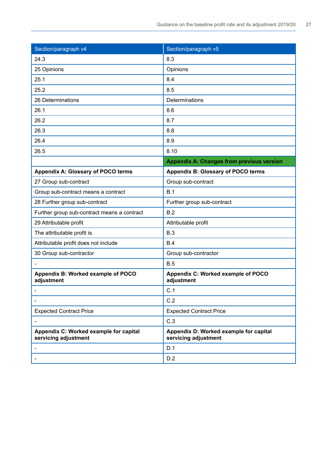| Section/paragraph v4                                           | Section/paragraph v5                                           |
|----------------------------------------------------------------|----------------------------------------------------------------|
| 24.3                                                           | 8.3                                                            |
| 25 Opinions                                                    | Opinions                                                       |
| 25.1                                                           | 8.4                                                            |
| 25.2                                                           | 8.5                                                            |
| 26 Determinations                                              | Determinations                                                 |
| 26.1                                                           | 8.6                                                            |
| 26.2                                                           | 8.7                                                            |
| 26.3                                                           | 8.8                                                            |
| 26.4                                                           | 8.9                                                            |
| 26.5                                                           | 8.10                                                           |
|                                                                | <b>Appendix A: Changes from previous version</b>               |
| <b>Appendix A: Glossary of POCO terms</b>                      | <b>Appendix B: Glossary of POCO terms</b>                      |
| 27 Group sub-contract                                          | Group sub-contract                                             |
| Group sub-contract means a contract                            | B.1                                                            |
| 28 Further group sub-contract                                  | Further group sub-contract                                     |
| Further group sub-contract means a contract                    | B.2                                                            |
| 29 Attributable profit                                         | Attributable profit                                            |
| The attributable profit is                                     | B.3                                                            |
| Attributable profit does not include                           | B.4                                                            |
| 30 Group sub-contractor                                        | Group sub-contractor                                           |
|                                                                | B.5                                                            |
| Appendix B: Worked example of POCO<br>adjustment               | Appendix C: Worked example of POCO<br>adjustment               |
|                                                                | C.1                                                            |
|                                                                | C.2                                                            |
| <b>Expected Contract Price</b>                                 | <b>Expected Contract Price</b>                                 |
|                                                                | C.3                                                            |
| Appendix C: Worked example for capital<br>servicing adjustment | Appendix D: Worked example for capital<br>servicing adjustment |
|                                                                | D.1                                                            |
|                                                                | D.2                                                            |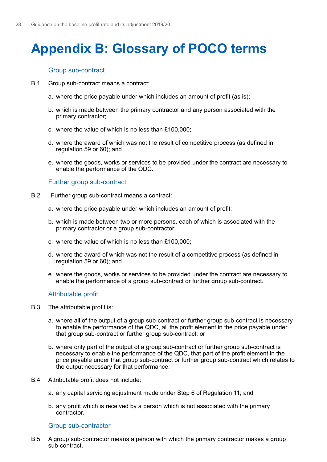# <span id="page-29-0"></span>**Appendix B: Glossary of POCO terms**

### Group sub-contract

- B.1 Group sub-contract means a contract:
	- a. where the price payable under which includes an amount of profit (as is);
	- b. which is made between the primary contractor and any person associated with the primary contractor;
	- c. where the value of which is no less than  $£100,000$ :
	- d. where the award of which was not the result of competitive process (as defined in regulation 59 or 60); and
	- e. where the goods, works or services to be provided under the contract are necessary to enable the performance of the QDC.

### Further group sub-contract

- B.2 Further group sub-contract means a contract:
	- a. where the price payable under which includes an amount of profit;
	- b. which is made between two or more persons, each of which is associated with the primary contractor or a group sub-contractor;
	- c. where the value of which is no less than  $£100,000;$
	- d. where the award of which was not the result of a competitive process (as defined in regulation 59 or 60); and
	- e. where the goods, works or services to be provided under the contract are necessary to enable the performance of a group sub-contract or further group sub-contract.

### Attributable profit

- B.3 The attributable profit is:
	- a. where all of the output of a group sub-contract or further group sub-contract is necessary to enable the performance of the QDC, all the profit element in the price payable under that group sub-contract or further group sub-contract; or
	- b. where only part of the output of a group sub-contract or further group sub-contract is necessary to enable the performance of the QDC, that part of the proft element in the price payable under that group sub-contract or further group sub-contract which relates to the output necessary for that performance.
- B.4 Attributable profit does not include:
	- a. any capital servicing adjustment made under Step 6 of Regulation 11; and
	- b. any profit which is received by a person which is not associated with the primary contractor.

### Group sub-contractor

B.5 A group sub-contractor means a person with which the primary contractor makes a group sub-contract.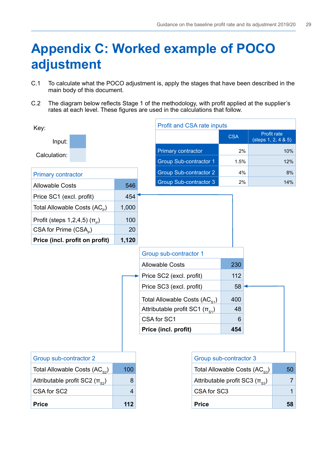# <span id="page-30-0"></span>**Appendix C: Worked example of POCO adjustment**

- C.1 To calculate what the POCO adjustment is, apply the stages that have been described in the main body of this document.
- C.2 The diagram below reflects Stage 1 of the methodology, with profit applied at the supplier's rates at each level. These fgures are used in the calculations that follow.

| Key:                                         |       | Profit and CSA rate inputs            |                                      |                                    |
|----------------------------------------------|-------|---------------------------------------|--------------------------------------|------------------------------------|
| Input:                                       |       |                                       | <b>CSA</b>                           | Profit rate<br>(steps 1, 2, 4 & 5) |
| Calculation:                                 |       | Primary contractor                    | 2%                                   | 10%                                |
|                                              |       | <b>Group Sub-contractor 1</b>         | 1.5%                                 | 12%                                |
| <b>Primary contractor</b>                    |       | <b>Group Sub-contractor 2</b>         | 4%                                   | 8%                                 |
| <b>Allowable Costs</b>                       | 546   | Group Sub-contractor 3                | 2%                                   | 14%                                |
| Price SC1 (excl. profit)                     | 454   |                                       |                                      |                                    |
| Total Allowable Costs $(AC_p)$               | 1,000 |                                       |                                      |                                    |
| Profit (steps $1,2,4,5$ ) $(\pi_{\text{p}})$ | 100   |                                       |                                      |                                    |
| $CSA$ for Prime $(CSAp)$                     | 20    |                                       |                                      |                                    |
| Price (incl. profit on profit)               | 1,120 |                                       |                                      |                                    |
|                                              |       | Group sub-contractor 1                |                                      |                                    |
|                                              |       | <b>Allowable Costs</b>                | 230                                  |                                    |
|                                              |       | Price SC2 (excl. profit)              | 112                                  |                                    |
|                                              |       | Price SC3 (excl. profit)              | 58                                   |                                    |
|                                              |       | Total Allowable Costs $(AC_{s_1})$    | 400                                  |                                    |
|                                              |       | Attributable profit SC1 $(\pi_{s_1})$ | 48                                   |                                    |
|                                              |       | CSA for SC1                           | 6                                    |                                    |
|                                              |       | Price (incl. profit)                  | 454                                  |                                    |
|                                              |       |                                       |                                      |                                    |
| Group sub-contractor 2                       |       |                                       | Group sub-contractor 3               |                                    |
| Total Allowable Costs (AC <sub>s2</sub> )    | 100   |                                       | Total Allowable Costs (ACs3)         | 50                                 |
| Attributable profit SC2 $(\pi_{s2})$         | 8     |                                       | Attributable profit SC3 $(\pi_{s3})$ | $\overline{7}$                     |
| CSA for SC2                                  | 4     | CSA for SC3                           |                                      | 1                                  |
| <b>Price</b>                                 | 112   | <b>Price</b>                          |                                      | 58                                 |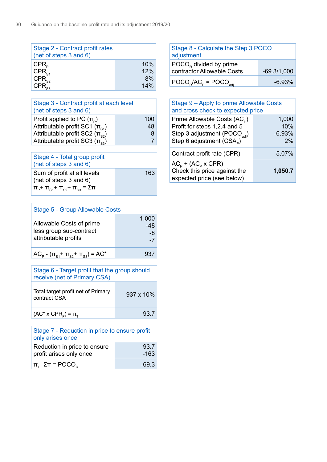| Stage 2 - Contract profit rates<br>(net of steps 3 and 6) |            |
|-----------------------------------------------------------|------------|
| $CPR_{p}$<br>$CPR_{s1}$                                   | 10%<br>12% |
|                                                           | 8%<br>14%  |

| Stage 3 - Contract profit at each level<br>(net of steps 3 and 6)                                                     |                |
|-----------------------------------------------------------------------------------------------------------------------|----------------|
| Profit applied to PC $(\pi_{\rm B})$<br>Attributable profit SC1 $(\pi_{s_1})$<br>Attributable profit SC2 $(\pi_{s2})$ | 100<br>48<br>8 |
| Attributable profit SC3 $(\pi_{s_3})$                                                                                 |                |

| Stage 4 - Total group profit<br>(net of steps 3 and 6)                                                                                          |     |
|-------------------------------------------------------------------------------------------------------------------------------------------------|-----|
| Sum of profit at all levels<br>(net of steps $3$ and $6$ )<br>$\Pi_{\rm p}$ + $\Pi_{\rm S1}$ + $\Pi_{\rm S2}$ + $\Pi_{\rm S3}$ = $\Sigma$ $\Pi$ | 163 |

| <b>Stage 5 - Group Allowable Costs</b>                                      |                            |  |
|-----------------------------------------------------------------------------|----------------------------|--|
| Allowable Costs of prime<br>less group sub-contract<br>attributable profits | 1,000<br>-48<br>-8<br>$-1$ |  |
| $AC_p - (\pi_{s_1} + \pi_{s_2} + \pi_{s_3}) = AC^*$                         | 937                        |  |

| Stage 6 - Target profit that the group should<br>receive (net of Primary CSA) |                   |  |  |  |
|-------------------------------------------------------------------------------|-------------------|--|--|--|
| Total target profit net of Primary<br>contract CSA                            | $937 \times 10\%$ |  |  |  |
| $(AC^* \times CPR_p) = \pi_T$                                                 | 93.7              |  |  |  |

| Stage 7 - Reduction in price to ensure profit<br>only arises once |                |  |  |
|-------------------------------------------------------------------|----------------|--|--|
| Reduction in price to ensure<br>profit arises only once           | 93.7<br>$-163$ |  |  |
| $\pi_{\tau}$ - $\Sigma \pi$ = POCO <sub>R</sub>                   | -69.3          |  |  |

| Stage 8 - Calculate the Step 3 POCO<br>adjustment          |               |  |  |  |
|------------------------------------------------------------|---------------|--|--|--|
| $POCOR$ divided by prime<br>contractor Allowable Costs     | $-69.3/1,000$ |  |  |  |
| $\text{POCO}_{R}/\text{AC}_{P} = \text{POCO}_{\text{adj}}$ | $-6.93%$      |  |  |  |

| Stage 9 - Apply to prime Allowable Costs<br>and cross check to expected price                                                                                 |                                |  |  |  |
|---------------------------------------------------------------------------------------------------------------------------------------------------------------|--------------------------------|--|--|--|
| Prime Allowable Costs (AC <sub>p</sub> )<br>Profit for steps 1,2,4 and 5<br>Step 3 adjustment (POCO <sub>adj</sub> )<br>Step 6 adjustment (CSA <sub>p</sub> ) | 1,000<br>10%<br>$-6.93%$<br>2% |  |  |  |
| Contract profit rate (CPR)                                                                                                                                    | 5.07%                          |  |  |  |
| $AC_p + (AC_p \times CPR)$<br>Check this price against the<br>expected price (see below)                                                                      | 1,050.7                        |  |  |  |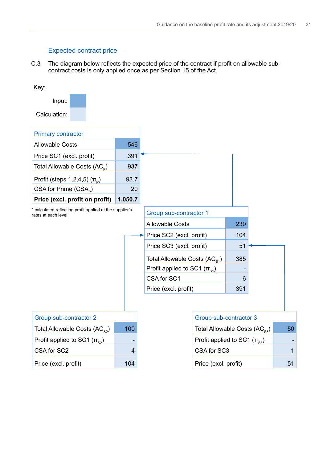# Expected contract price

C.3 The diagram below reflects the expected price of the contract if profit on allowable subcontract costs is only applied once as per Section 15 of the Act.

| Key:                                                                            |         |                                           |                                    |     |              |
|---------------------------------------------------------------------------------|---------|-------------------------------------------|------------------------------------|-----|--------------|
| Input:                                                                          |         |                                           |                                    |     |              |
| Calculation:                                                                    |         |                                           |                                    |     |              |
| <b>Primary contractor</b>                                                       |         |                                           |                                    |     |              |
| <b>Allowable Costs</b>                                                          | 546     |                                           |                                    |     |              |
| Price SC1 (excl. profit)                                                        | 391     |                                           |                                    |     |              |
| Total Allowable Costs (AC <sub>P</sub> )                                        | 937     |                                           |                                    |     |              |
| Profit (steps $1,2,4,5$ ) $(\pi_{\text{p}})$                                    | 93.7    |                                           |                                    |     |              |
| CSA for Prime (CSA <sub>P</sub> )                                               | 20      |                                           |                                    |     |              |
| Price (excl. profit on profit)                                                  | 1,050.7 |                                           |                                    |     |              |
| * calculated reflecting profit applied at the supplier's<br>rates at each level |         | Group sub-contractor 1                    |                                    |     |              |
|                                                                                 |         | <b>Allowable Costs</b>                    |                                    | 230 |              |
|                                                                                 |         | Price SC2 (excl. profit)                  |                                    | 104 |              |
|                                                                                 |         | Price SC3 (excl. profit)                  |                                    | 51  |              |
|                                                                                 |         | Total Allowable Costs (AC <sub>S1</sub> ) |                                    | 385 |              |
|                                                                                 |         | Profit applied to SC1 $(\pi_{s_1})$       |                                    |     |              |
|                                                                                 |         | CSA for SC1                               |                                    | 6   |              |
|                                                                                 |         | Price (excl. profit)                      |                                    | 391 |              |
|                                                                                 |         |                                           |                                    |     |              |
| Group sub-contractor 2                                                          |         |                                           | Group sub-contractor 3             |     |              |
| Total Allowable Costs $(AC_{s2})$                                               | 100     |                                           | Total Allowable Costs $(AC_{s3})$  |     | 50           |
| Profit applied to SC1 $(\pi_{s2})$                                              |         |                                           | Profit applied to SC1 $(\pi_{s3})$ |     |              |
| CSA for SC2                                                                     | 4       |                                           | CSA for SC3                        |     | $\mathbf{1}$ |
| Price (excl. profit)                                                            | 104     |                                           | Price (excl. profit)               |     | 51           |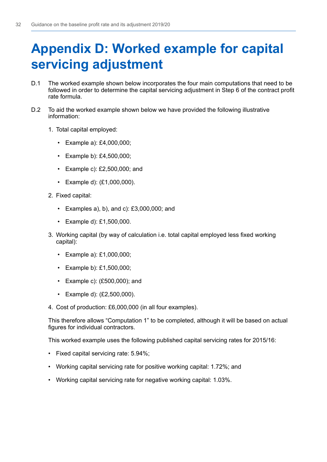# <span id="page-33-0"></span>**Appendix D: Worked example for capital servicing adjustment**

- D.1 The worked example shown below incorporates the four main computations that need to be followed in order to determine the capital servicing adjustment in Step 6 of the contract proft rate formula.
- D.2 To aid the worked example shown below we have provided the following illustrative information:
	- 1. Total capital employed:
		- • Example a): £4,000,000;
		- • Example b): £4,500,000;
		- • Example c): £2,500,000; and
		- • Example d): (£1,000,000).
	- 2. Fixed capital:
		- $\cdot$  Examples a), b), and c): £3,000,000; and
		- • Example d): £1,500,000.
	- 3. Working capital (by way of calculation i.e. total capital employed less fixed working capital):
		- • Example a): £1,000,000;
		- • Example b): £1,500,000;
		- • Example c): (£500,000); and
		- • Example d): (£2,500,000).
	- 4. Cost of production: £6,000,000 (in all four examples).

This therefore allows "Computation 1" to be completed, although it will be based on actual fgures for individual contractors.

This worked example uses the following published capital servicing rates for 2015/16:

- • Fixed capital servicing rate: 5.94%;
- Working capital servicing rate for positive working capital: 1.72%; and
- Working capital servicing rate for negative working capital: 1.03%.